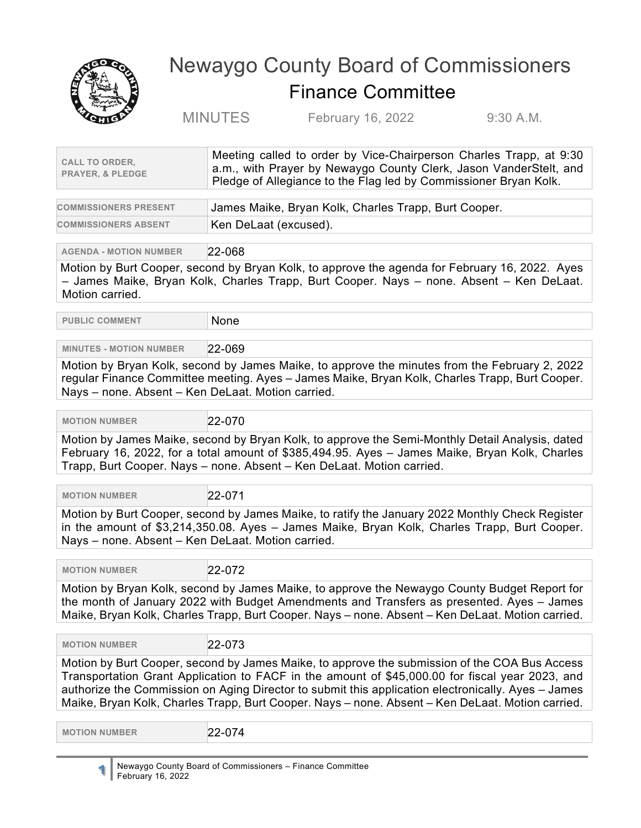

## Newaygo County Board of Commissioners Finance Committee

MINUTES February 16, 2022 9:30 A.M.

| <b>CALL TO ORDER.</b><br><b>PRAYER, &amp; PLEDGE</b> | Meeting called to order by Vice-Chairperson Charles Trapp, at 9:30<br>a.m., with Prayer by Newaygo County Clerk, Jason VanderStelt, and<br>Pledge of Allegiance to the Flag led by Commissioner Bryan Kolk. |
|------------------------------------------------------|-------------------------------------------------------------------------------------------------------------------------------------------------------------------------------------------------------------|
|                                                      |                                                                                                                                                                                                             |

| <b>COMMISSIONERS PRESENT</b> | James Maike, Bryan Kolk, Charles Trapp, Burt Cooper. |
|------------------------------|------------------------------------------------------|
| <b>COMMISSIONERS ABSENT</b>  | Ken DeLaat (excused).                                |

**AGENDA - MOTION NUMBER** 22-068

Motion by Burt Cooper, second by Bryan Kolk, to approve the agenda for February 16, 2022. Ayes – James Maike, Bryan Kolk, Charles Trapp, Burt Cooper. Nays – none. Absent – Ken DeLaat. Motion carried.

**PUBLIC COMMENT** None

## **MINUTES - MOTION NUMBER** 22-069

Motion by Bryan Kolk, second by James Maike, to approve the minutes from the February 2, 2022 regular Finance Committee meeting. Ayes – James Maike, Bryan Kolk, Charles Trapp, Burt Cooper. Nays – none. Absent – Ken DeLaat. Motion carried.

 **MOTION NUMBER** 22-070

Motion by James Maike, second by Bryan Kolk, to approve the Semi-Monthly Detail Analysis, dated February 16, 2022, for a total amount of \$385,494.95. Ayes – James Maike, Bryan Kolk, Charles Trapp, Burt Cooper. Nays – none. Absent – Ken DeLaat. Motion carried.

MOTION NUMBER 22-071

Motion by Burt Cooper, second by James Maike, to ratify the January 2022 Monthly Check Register in the amount of \$3,214,350.08. Ayes – James Maike, Bryan Kolk, Charles Trapp, Burt Cooper. Nays – none. Absent – Ken DeLaat. Motion carried.

**MOTION NUMBER** 22-072

Motion by Bryan Kolk, second by James Maike, to approve the Newaygo County Budget Report for the month of January 2022 with Budget Amendments and Transfers as presented. Ayes – James Maike, Bryan Kolk, Charles Trapp, Burt Cooper. Nays – none. Absent – Ken DeLaat. Motion carried.

 **MOTION NUMBER** 22-073

Motion by Burt Cooper, second by James Maike, to approve the submission of the COA Bus Access Transportation Grant Application to FACF in the amount of \$45,000.00 for fiscal year 2023, and authorize the Commission on Aging Director to submit this application electronically. Ayes – James Maike, Bryan Kolk, Charles Trapp, Burt Cooper. Nays – none. Absent – Ken DeLaat. Motion carried.

 **MOTION NUMBER** 22-074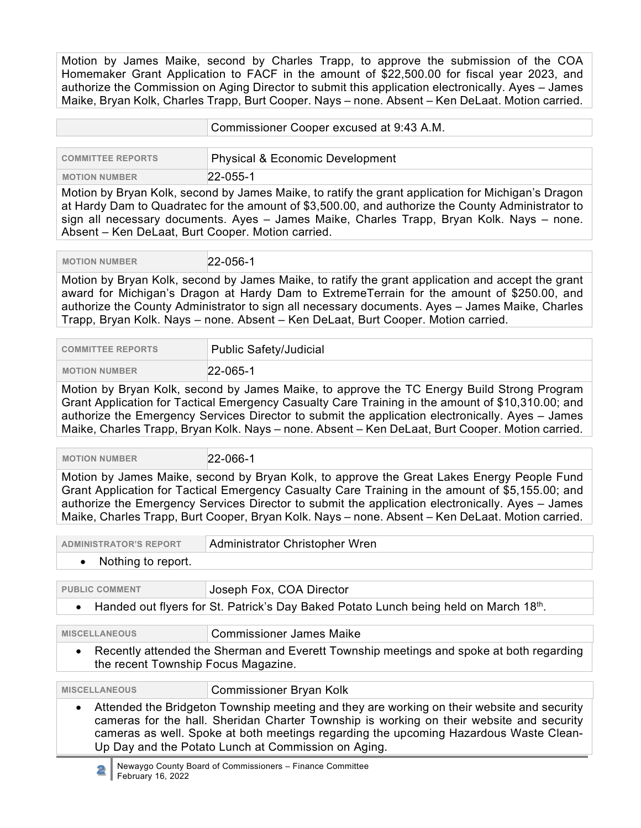Motion by James Maike, second by Charles Trapp, to approve the submission of the COA Homemaker Grant Application to FACF in the amount of \$22,500.00 for fiscal year 2023, and authorize the Commission on Aging Director to submit this application electronically. Ayes – James Maike, Bryan Kolk, Charles Trapp, Burt Cooper. Nays – none. Absent – Ken DeLaat. Motion carried.

|                          | Commissioner Cooper excused at 9:43 A.M. |
|--------------------------|------------------------------------------|
| <b>COMMITTEE REPORTS</b> | Physical & Economic Development          |
| <b>MOTION NUMBER</b>     | $22 - 055 - 1$                           |

Motion by Bryan Kolk, second by James Maike, to ratify the grant application for Michigan's Dragon at Hardy Dam to Quadratec for the amount of \$3,500.00, and authorize the County Administrator to sign all necessary documents. Ayes – James Maike, Charles Trapp, Bryan Kolk. Nays – none. Absent – Ken DeLaat, Burt Cooper. Motion carried.

 **MOTION NUMBER** 22-056-1

Motion by Bryan Kolk, second by James Maike, to ratify the grant application and accept the grant award for Michigan's Dragon at Hardy Dam to ExtremeTerrain for the amount of \$250.00, and authorize the County Administrator to sign all necessary documents. Ayes – James Maike, Charles Trapp, Bryan Kolk. Nays – none. Absent – Ken DeLaat, Burt Cooper. Motion carried.

| <b>COMMITTEE REPORTS</b> | Public Safety/Judicial |
|--------------------------|------------------------|
| <b>MOTION NUMBER</b>     | $22 - 065 - 1$         |

Motion by Bryan Kolk, second by James Maike, to approve the TC Energy Build Strong Program Grant Application for Tactical Emergency Casualty Care Training in the amount of \$10,310.00; and authorize the Emergency Services Director to submit the application electronically. Ayes – James Maike, Charles Trapp, Bryan Kolk. Nays – none. Absent – Ken DeLaat, Burt Cooper. Motion carried.

 **MOTION NUMBER** 22-066-1

Motion by James Maike, second by Bryan Kolk, to approve the Great Lakes Energy People Fund Grant Application for Tactical Emergency Casualty Care Training in the amount of \$5,155.00; and authorize the Emergency Services Director to submit the application electronically. Ayes – James Maike, Charles Trapp, Burt Cooper, Bryan Kolk. Nays – none. Absent – Ken DeLaat. Motion carried.

| <b>ADMINISTRATOR'S REPORT</b> | Administrator Christopher Wren |
|-------------------------------|--------------------------------|
| Nothing to report.            |                                |

| <b>PUBLIC COMMENT</b>                                                                                                                                                                                                                                                                                                                               | Joseph Fox, COA Director |  |
|-----------------------------------------------------------------------------------------------------------------------------------------------------------------------------------------------------------------------------------------------------------------------------------------------------------------------------------------------------|--------------------------|--|
| Handed out flyers for St. Patrick's Day Baked Potato Lunch being held on March 18th.<br>$\bullet$                                                                                                                                                                                                                                                   |                          |  |
|                                                                                                                                                                                                                                                                                                                                                     |                          |  |
| <b>MISCELLANEOUS</b>                                                                                                                                                                                                                                                                                                                                | Commissioner James Maike |  |
| • Recently attended the Sherman and Everett Township meetings and spoke at both regarding<br>the recent Township Focus Magazine.                                                                                                                                                                                                                    |                          |  |
| <b>MISCELLANEOUS</b>                                                                                                                                                                                                                                                                                                                                | Commissioner Bryan Kolk  |  |
| Attended the Bridgeton Township meeting and they are working on their website and security<br>$\bullet$<br>cameras for the hall. Sheridan Charter Township is working on their website and security<br>cameras as well. Spoke at both meetings regarding the upcoming Hazardous Waste Clean-<br>Up Day and the Potato Lunch at Commission on Aging. |                          |  |